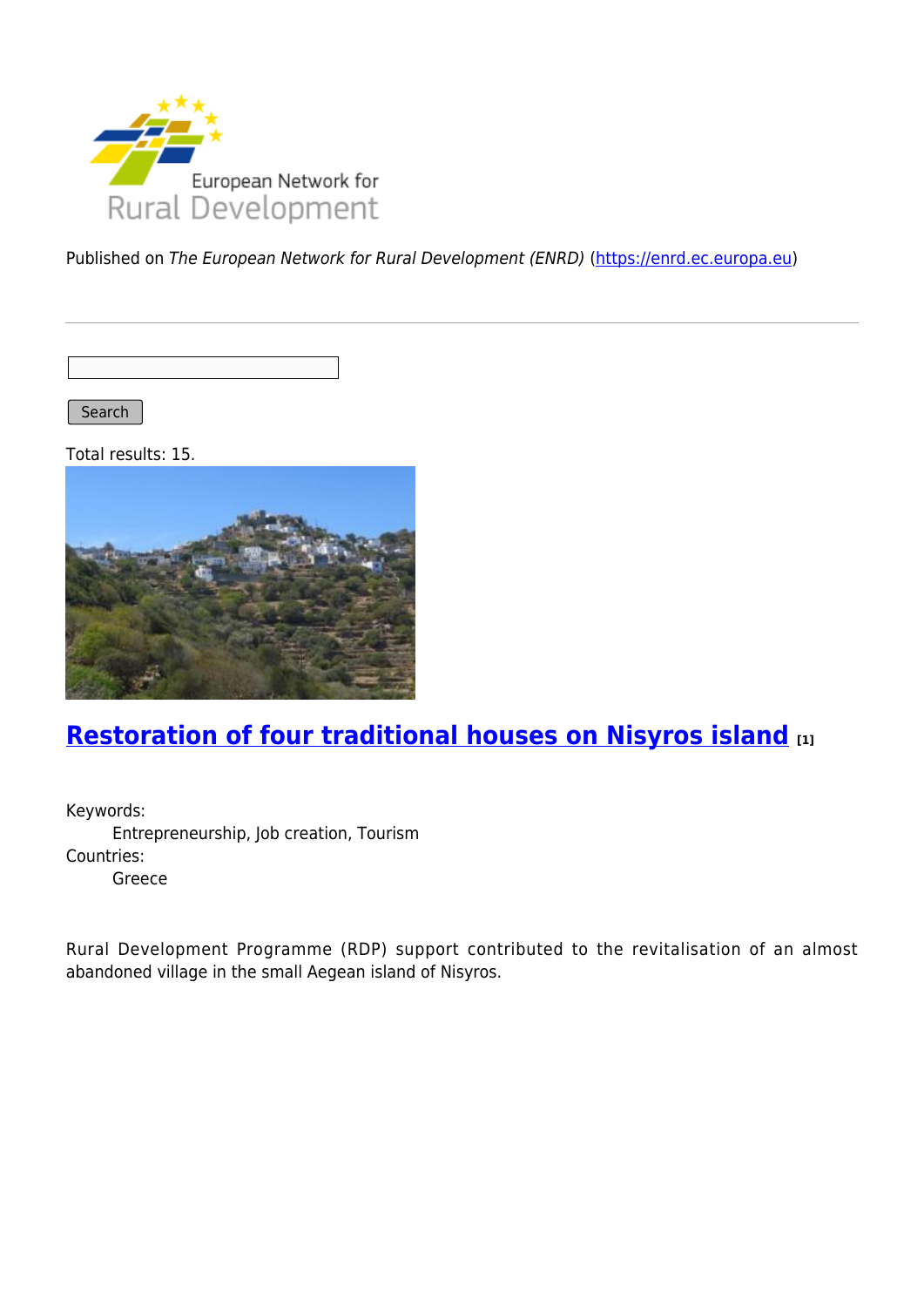

Published on The European Network for Rural Development (ENRD) [\(https://enrd.ec.europa.eu](https://enrd.ec.europa.eu))

Search |

Total results: 15.



# **[Restoration of four traditional houses on Nisyros island](https://enrd.ec.europa.eu/projects-practice/restoration-four-traditional-houses-nisyros-island_en) [1]**

Keywords: Entrepreneurship, Job creation, Tourism Countries: Greece

Rural Development Programme (RDP) support contributed to the revitalisation of an almost abandoned village in the small Aegean island of Nisyros.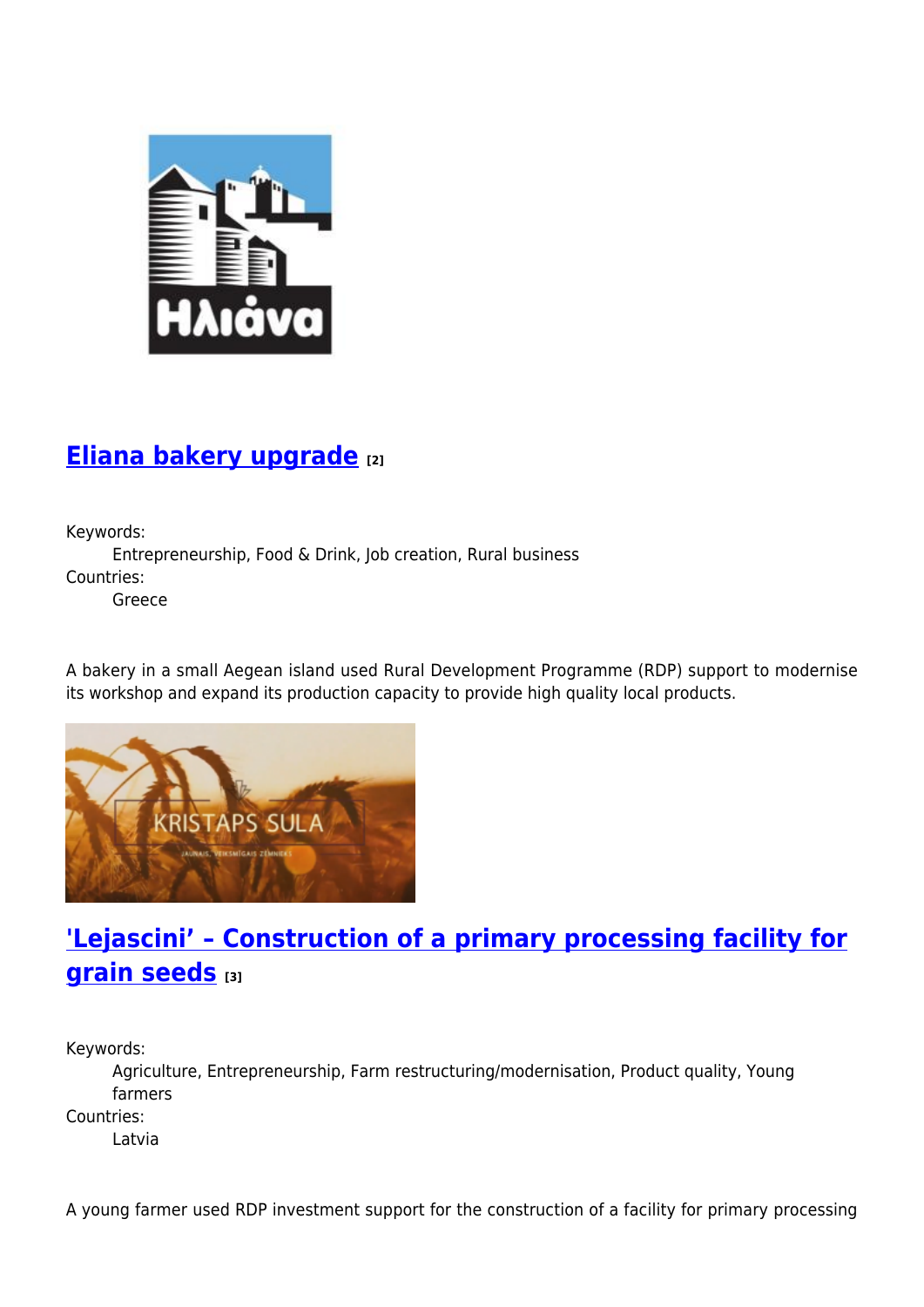

#### **[Eliana bakery upgrade](https://enrd.ec.europa.eu/projects-practice/eliana-bakery-upgrade_en) [2]**

Keywords:

Entrepreneurship, Food & Drink, Job creation, Rural business Countries:

Greece

A bakery in a small Aegean island used Rural Development Programme (RDP) support to modernise its workshop and expand its production capacity to provide high quality local products.



## **['Lejascini' – Construction of a primary processing facility for](https://enrd.ec.europa.eu/projects-practice/lejascini-construction-primary-processing-facility-grain-seeds_en) [grain seeds](https://enrd.ec.europa.eu/projects-practice/lejascini-construction-primary-processing-facility-grain-seeds_en) [3]**

Keywords:

Agriculture, Entrepreneurship, Farm restructuring/modernisation, Product quality, Young farmers

Countries:

Latvia

A young farmer used RDP investment support for the construction of a facility for primary processing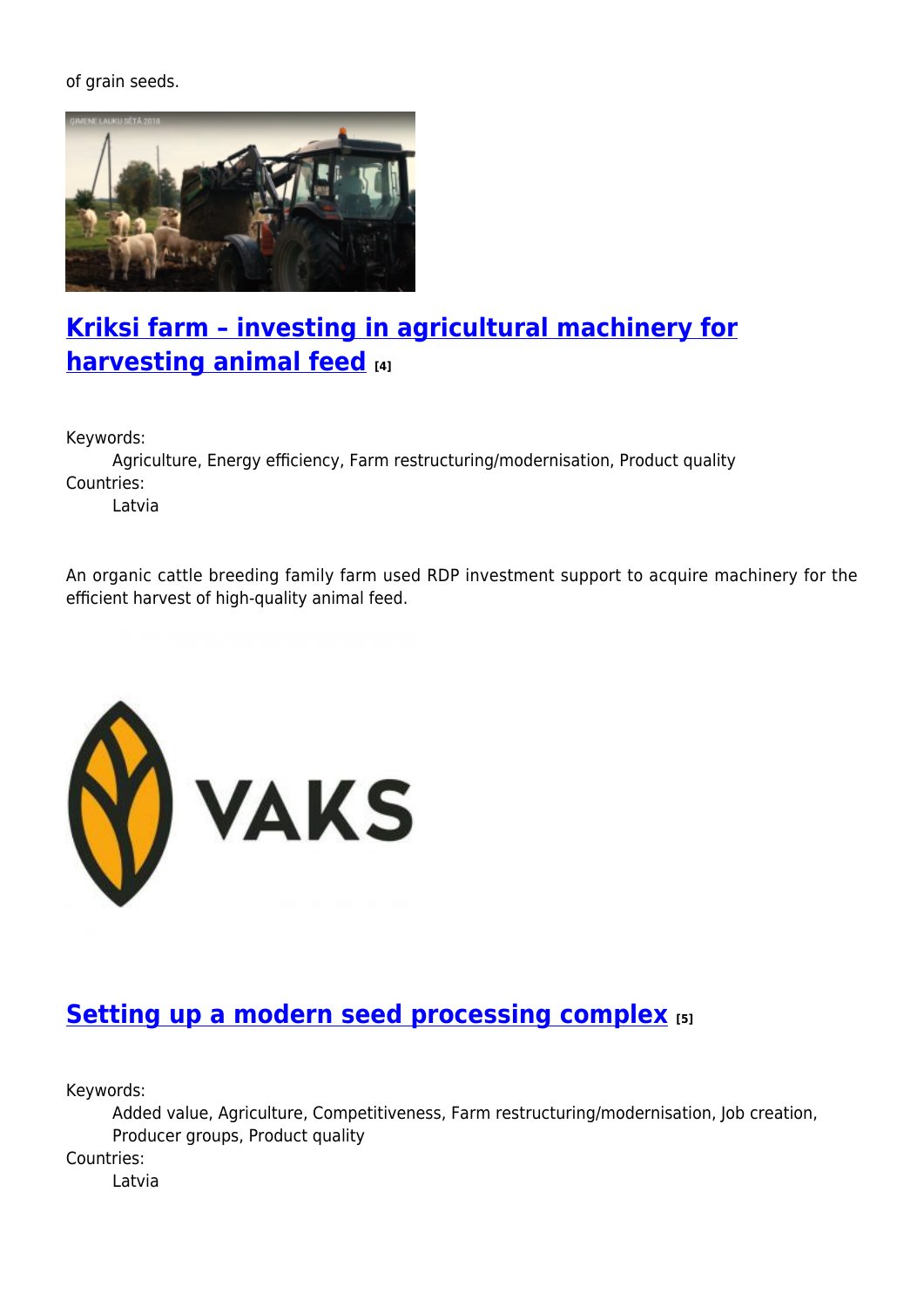of grain seeds.



#### **[Kriksi farm – investing in agricultural machinery for](https://enrd.ec.europa.eu/projects-practice/kriksi-farm-investing-agricultural-machinery-harvesting-animal-feed_en) [harvesting animal feed](https://enrd.ec.europa.eu/projects-practice/kriksi-farm-investing-agricultural-machinery-harvesting-animal-feed_en) [4]**

Keywords:

Agriculture, Energy efficiency, Farm restructuring/modernisation, Product quality Countries:

Latvia

An organic cattle breeding family farm used RDP investment support to acquire machinery for the efficient harvest of high-quality animal feed.



#### **[Setting up a modern seed processing complex](https://enrd.ec.europa.eu/projects-practice/setting-modern-seed-processing-complex_en) [5]**

Keywords:

Added value, Agriculture, Competitiveness, Farm restructuring/modernisation, Job creation, Producer groups, Product quality

Countries:

Latvia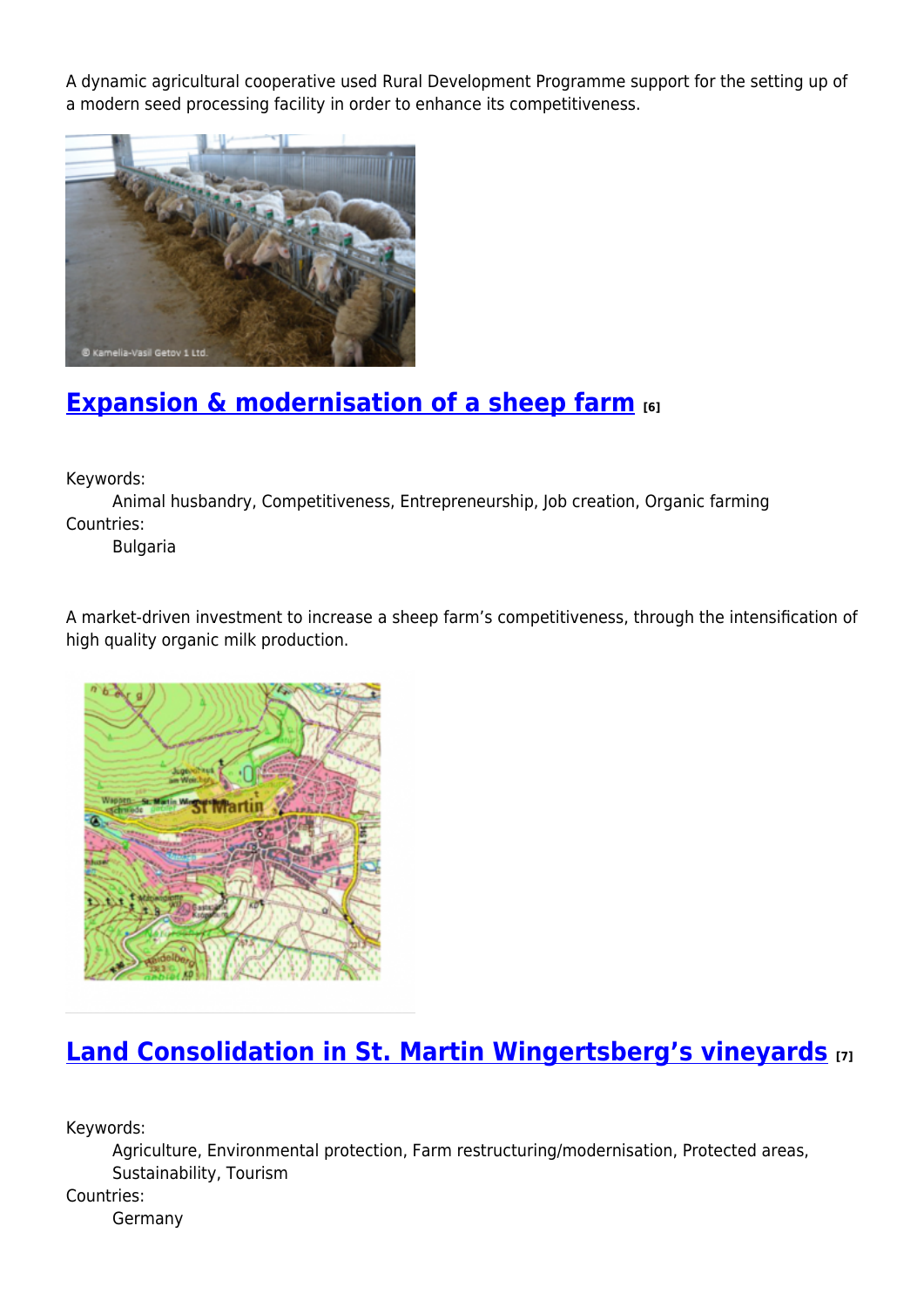A dynamic agricultural cooperative used Rural Development Programme support for the setting up of a modern seed processing facility in order to enhance its competitiveness.



# **[Expansion & modernisation of a sheep farm](https://enrd.ec.europa.eu/projects-practice/expansion-modernisation-sheep-farm_en) [6]**

Keywords:

Animal husbandry, Competitiveness, Entrepreneurship, Job creation, Organic farming Countries:

Bulgaria

A market-driven investment to increase a sheep farm's competitiveness, through the intensification of high quality organic milk production.



# **[Land Consolidation in St. Martin Wingertsberg's vineyards](https://enrd.ec.europa.eu/projects-practice/land-consolidation-st-martin-wingertsbergs-vineyards_en) [7]**

Keywords:

Agriculture, Environmental protection, Farm restructuring/modernisation, Protected areas, Sustainability, Tourism

Countries:

Germany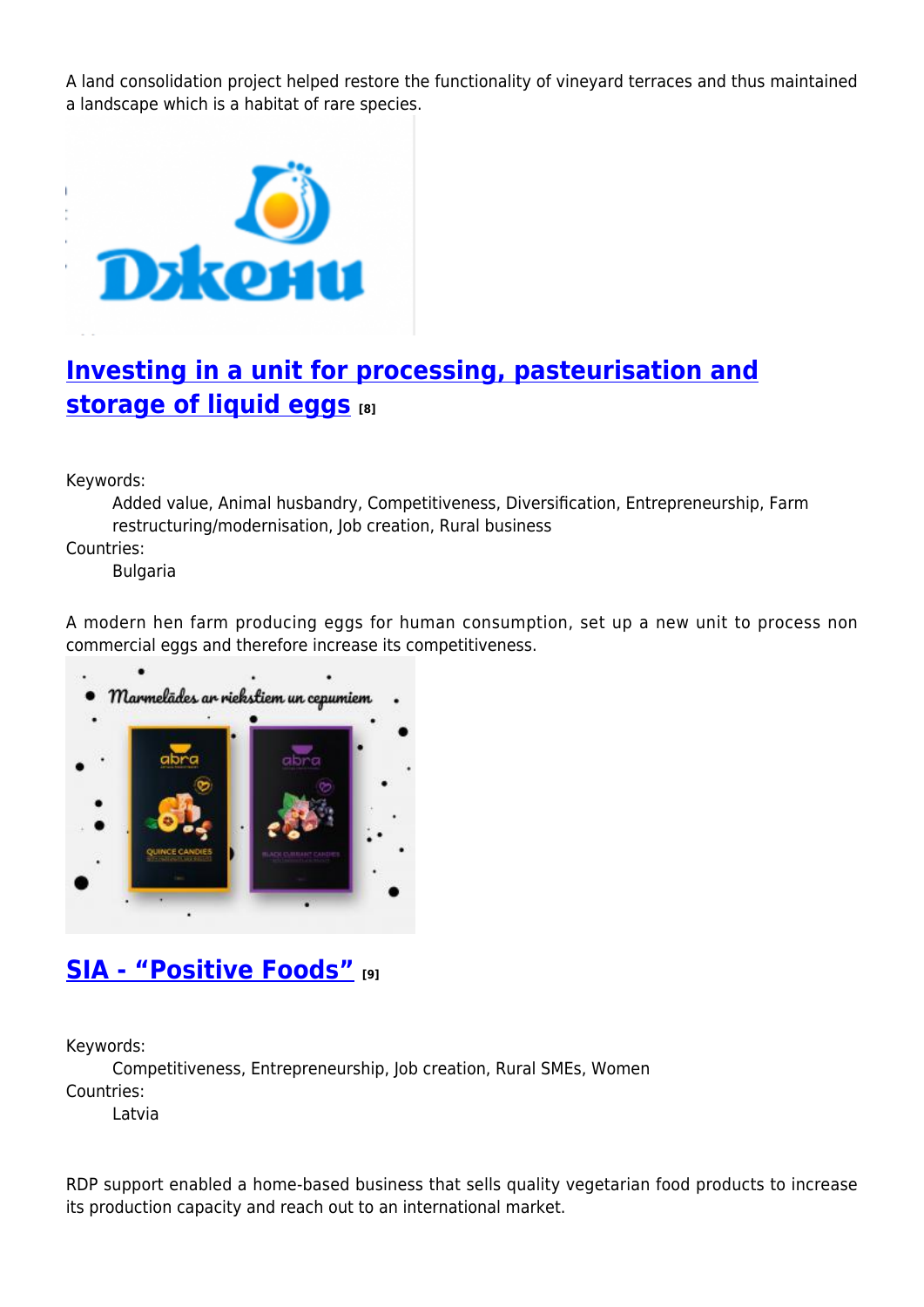A land consolidation project helped restore the functionality of vineyard terraces and thus maintained a landscape which is a habitat of rare species.



## **[Investing in a unit for processing, pasteurisation and](https://enrd.ec.europa.eu/projects-practice/investing-unit-processing-pasteurisation-and-storage-liquid-eggs_en) [storage of liquid eggs](https://enrd.ec.europa.eu/projects-practice/investing-unit-processing-pasteurisation-and-storage-liquid-eggs_en)** [8]

Keywords:

Added value, Animal husbandry, Competitiveness, Diversification, Entrepreneurship, Farm restructuring/modernisation, Job creation, Rural business

Countries:

Bulgaria

A modern hen farm producing eggs for human consumption, set up a new unit to process non commercial eggs and therefore increase its competitiveness.



#### **[SIA - "Positive Foods"](https://enrd.ec.europa.eu/projects-practice/sia-positive-foods_en) [9]**

Keywords:

Competitiveness, Entrepreneurship, Job creation, Rural SMEs, Women Countries:

Latvia

RDP support enabled a home-based business that sells quality vegetarian food products to increase its production capacity and reach out to an international market.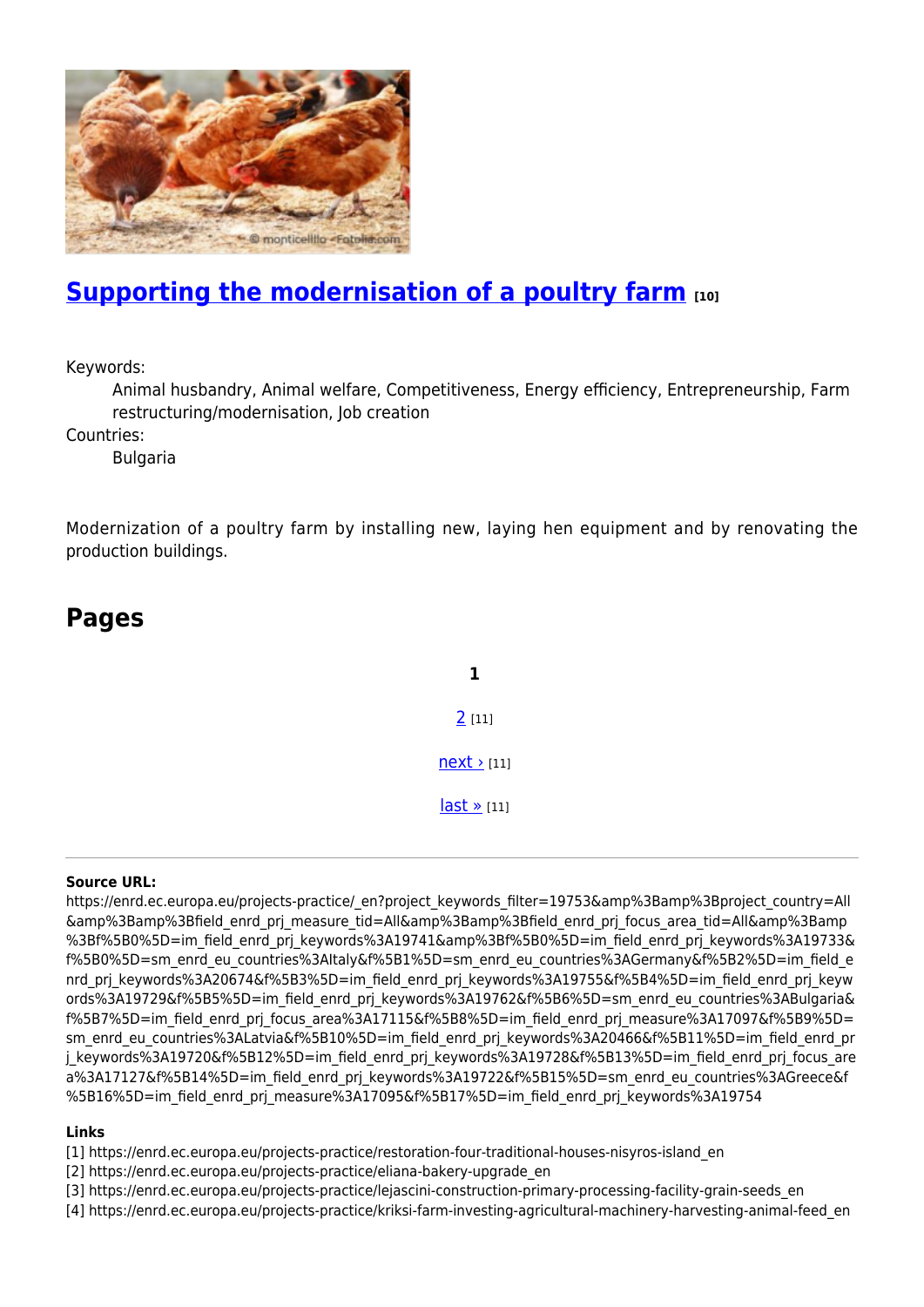

## **[Supporting the modernisation of a poultry farm](https://enrd.ec.europa.eu/projects-practice/supporting-modernisation-poultry-farm_en) [10]**

Keywords:

Animal husbandry, Animal welfare, Competitiveness, Energy efficiency, Entrepreneurship, Farm restructuring/modernisation, Job creation

Countries:

**Pages**

Bulgaria

Modernization of a poultry farm by installing new, laying hen equipment and by renovating the production buildings.

**1**

 $2$  [11]

 $next$  [11]

[last »](https://enrd.ec.europa.eu/projects-practice/_en?page=1&project_keywords_filter=19753&%3Bamp%3Bproject_country=All&%3Bamp%3Bfield_enrd_prj_measure_tid=All&%3Bamp%3Bfield_enrd_prj_focus_area_tid=All&%3Bamp%3Bf%5B0%5D=im_field_enrd_prj_keywords%3A19741&%3Bf%5B0%5D=im_field_enrd_prj_keywords%3A19733&f%5B0%5D=sm_enrd_eu_countries%3AItaly&f%5B1%5D=sm_enrd_eu_countries%3AGermany&f%5B2%5D=im_field_enrd_prj_keywords%3A20674&f%5B3%5D=im_field_enrd_prj_keywords%3A19755&f%5B4%5D=im_field_enrd_prj_keywords%3A19729&f%5B5%5D=im_field_enrd_prj_keywords%3A19762&f%5B6%5D=sm_enrd_eu_countries%3ABulgaria&f%5B7%5D=im_field_enrd_prj_focus_area%3A17115&f%5B8%5D=im_field_enrd_prj_measure%3A17097&f%5B9%5D=sm_enrd_eu_countries%3ALatvia&f%5B10%5D=im_field_enrd_prj_keywords%3A20466&f%5B11%5D=im_field_enrd_prj_keywords%3A19720&f%5B12%5D=im_field_enrd_prj_keywords%3A19728&f%5B13%5D=im_field_enrd_prj_focus_area%3A17127&f%5B14%5D=im_field_enrd_prj_keywords%3A19722&f%5B15%5D=sm_enrd_eu_countries%3AGreece&f%5B16%5D=im_field_enrd_prj_measure%3A17095&f%5B17%5D=im_field_enrd_prj_keywords%3A19754) [11]

#### **Source URL:**

https://enrd.ec.europa.eu/projects-practice/\_en?project\_keywords\_filter=19753&amp%3Bamp%3Bproject\_country=All &amp%3Bamp%3Bfield\_enrd\_prj\_measure\_tid=All&amp%3Bamp%3Bfield\_enrd\_prj\_focus\_area\_tid=All&amp%3Bamp %3Bf%5B0%5D=im\_field\_enrd\_prj\_keywords%3A19741&amp%3Bf%5B0%5D=im\_field\_enrd\_prj\_keywords%3A19733& f%5B0%5D=sm\_enrd\_eu\_countries%3AItaly&f%5B1%5D=sm\_enrd\_eu\_countries%3AGermany&f%5B2%5D=im\_field\_e nrd prj keywords%3A20674&f%5B3%5D=im\_field\_enrd\_prj\_keywords%3A19755&f%5B4%5D=im\_field\_enrd\_prj\_keyw ords%3A19729&f%5B5%5D=im\_field\_enrd\_prj\_keywords%3A19762&f%5B6%5D=sm\_enrd\_eu\_countries%3ABulgaria& f%5B7%5D=im\_field\_enrd\_prj\_focus\_area%3A17115&f%5B8%5D=im\_field\_enrd\_prj\_measure%3A17097&f%5B9%5D= sm\_enrd\_eu\_countries%3ALatvia&f%5B10%5D=im\_field\_enrd\_prj\_keywords%3A20466&f%5B11%5D=im\_field\_enrd\_pr j keywords%3A19720&f%5B12%5D=im field enrd prj keywords%3A19728&f%5B13%5D=im field enrd prj focus are a%3A17127&f%5B14%5D=im\_field\_enrd\_prj\_keywords%3A19722&f%5B15%5D=sm\_enrd\_eu\_countries%3AGreece&f %5B16%5D=im\_field\_enrd\_prj\_measure%3A17095&f%5B17%5D=im\_field\_enrd\_prj\_keywords%3A19754

#### **Links**

- [1] https://enrd.ec.europa.eu/projects-practice/restoration-four-traditional-houses-nisyros-island\_en
- [2] https://enrd.ec.europa.eu/projects-practice/eliana-bakery-upgrade\_en
- [3] https://enrd.ec.europa.eu/projects-practice/lejascini-construction-primary-processing-facility-grain-seeds\_en
- [4] https://enrd.ec.europa.eu/projects-practice/kriksi-farm-investing-agricultural-machinery-harvesting-animal-feed\_en